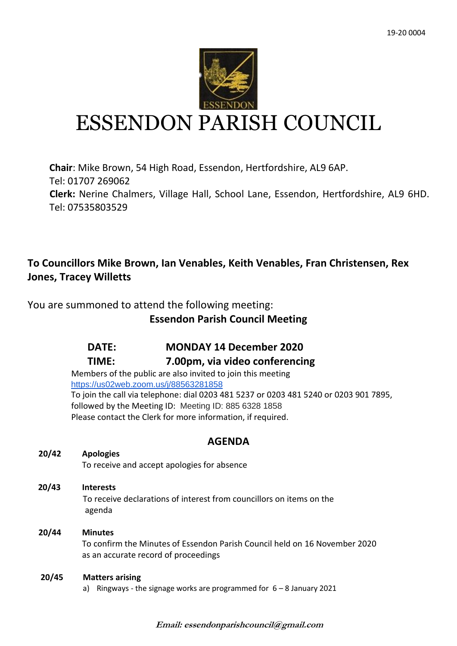

# ESSENDON PARISH COUNCIL

**Chair**: Mike Brown, 54 High Road, Essendon, Hertfordshire, AL9 6AP. Tel: 01707 269062 **Clerk:** Nerine Chalmers, Village Hall, School Lane, Essendon, Hertfordshire, AL9 6HD. Tel: 07535803529

# **To Councillors Mike Brown, Ian Venables, Keith Venables, Fran Christensen, Rex Jones, Tracey Willetts**

You are summoned to attend the following meeting:

# **Essendon Parish Council Meeting**

# **DATE: MONDAY 14 December 2020**

# **TIME: 7.00pm, via video conferencing**

Members of the public are also invited to join this meeting <https://us02web.zoom.us/j/88563281858> To join the call via telephone: dial 0203 481 5237 or 0203 481 5240 or 0203 901 7895, followed by the Meeting ID: Meeting ID: 885 6328 1858 Please contact the Clerk for more information, if required.

# **AGENDA**

## **20/42 Apologies**

To receive and accept apologies for absence

 **20/43 Interests** To receive declarations of interest from councillors on items on the agenda

## **20/44 Minutes** To confirm the Minutes of Essendon Parish Council held on 16 November 2020 as an accurate record of proceedings

## **20/45 Matters arising**

a) Ringways - the signage works are programmed for  $6 - 8$  January 2021

**Email: essendonparishcouncil@gmail.com**